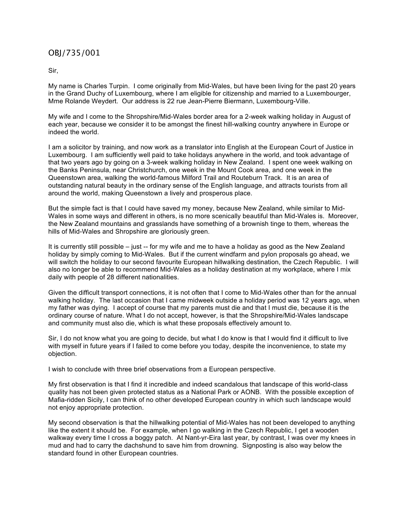## OBJ/735/001

Sir,

My name is Charles Turpin. I come originally from Mid-Wales, but have been living for the past 20 years in the Grand Duchy of Luxembourg, where I am eligible for citizenship and married to a Luxembourger, Mme Rolande Weydert. Our address is 22 rue Jean-Pierre Biermann, Luxembourg-Ville.

My wife and I come to the Shropshire/Mid-Wales border area for a 2-week walking holiday in August of each year, because we consider it to be amongst the finest hill-walking country anywhere in Europe or indeed the world.

I am a solicitor by training, and now work as a translator into English at the European Court of Justice in Luxembourg. I am sufficiently well paid to take holidays anywhere in the world, and took advantage of that two years ago by going on a 3-week walking holiday in New Zealand. I spent one week walking on the Banks Peninsula, near Christchurch, one week in the Mount Cook area, and one week in the Queenstown area, walking the world-famous Milford Trail and Routeburn Track. It is an area of outstanding natural beauty in the ordinary sense of the English language, and attracts tourists from all around the world, making Queenstown a lively and prosperous place.

But the simple fact is that I could have saved my money, because New Zealand, while similar to Mid-Wales in some ways and different in others, is no more scenically beautiful than Mid-Wales is. Moreover, the New Zealand mountains and grasslands have something of a brownish tinge to them, whereas the hills of Mid-Wales and Shropshire are gloriously green.

It is currently still possible – just -- for my wife and me to have a holiday as good as the New Zealand holiday by simply coming to Mid-Wales. But if the current windfarm and pylon proposals go ahead, we will switch the holiday to our second favourite European hillwalking destination, the Czech Republic. I will also no longer be able to recommend Mid-Wales as a holiday destination at my workplace, where I mix daily with people of 28 different nationalities.

Given the difficult transport connections, it is not often that I come to Mid-Wales other than for the annual walking holiday. The last occasion that I came midweek outside a holiday period was 12 years ago, when my father was dying. I accept of course that my parents must die and that I must die, because it is the ordinary course of nature. What I do not accept, however, is that the Shropshire/Mid-Wales landscape and community must also die, which is what these proposals effectively amount to.

Sir, I do not know what you are going to decide, but what I do know is that I would find it difficult to live with myself in future years if I failed to come before you today, despite the inconvenience, to state my objection.

I wish to conclude with three brief observations from a European perspective.

My first observation is that I find it incredible and indeed scandalous that landscape of this world-class quality has not been given protected status as a National Park or AONB. With the possible exception of Mafia-ridden Sicily, I can think of no other developed European country in which such landscape would not enjoy appropriate protection.

My second observation is that the hillwalking potential of Mid-Wales has not been developed to anything like the extent it should be. For example, when I go walking in the Czech Republic, I get a wooden walkway every time I cross a boggy patch. At Nant-yr-Eira last year, by contrast, I was over my knees in mud and had to carry the dachshund to save him from drowning. Signposting is also way below the standard found in other European countries.